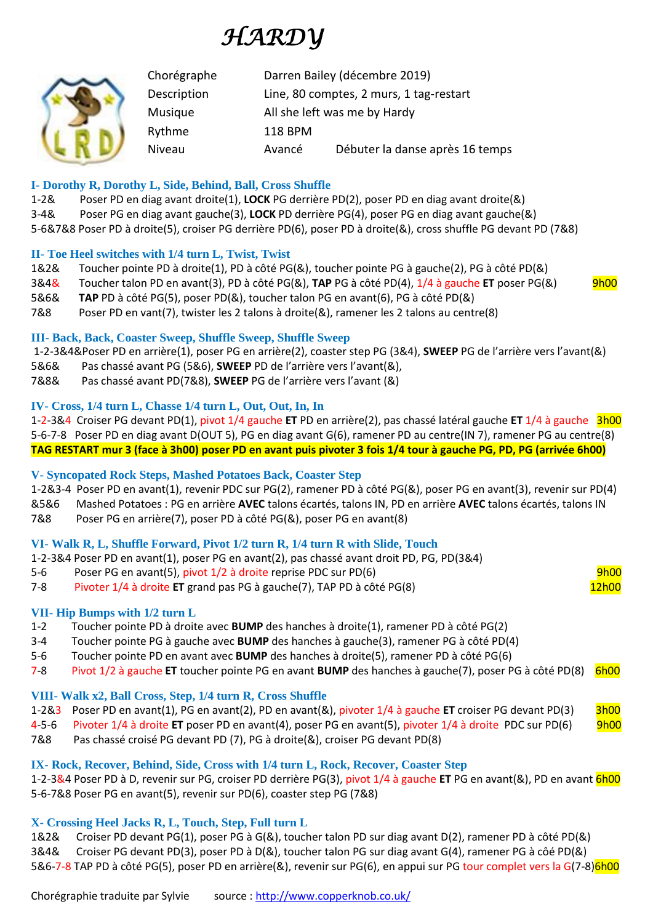# *HARDY*

|  | Chorégraphe | Darren Bailey (décembre 2019)           |                                 |
|--|-------------|-----------------------------------------|---------------------------------|
|  | Description | Line, 80 comptes, 2 murs, 1 tag-restart |                                 |
|  | Musique     | All she left was me by Hardy            |                                 |
|  | Rythme      | <b>118 BPM</b>                          |                                 |
|  | Niveau      | Avancé                                  | Débuter la danse après 16 temps |

## **I- Dorothy R, Dorothy L, Side, Behind, Ball, Cross Shuffle**

1-2& Poser PD en diag avant droite(1), **LOCK** PG derrière PD(2), poser PD en diag avant droite(&) 3-4& Poser PG en diag avant gauche(3), **LOCK** PD derrière PG(4), poser PG en diag avant gauche(&) 5-6&7&8 Poser PD à droite(5), croiser PG derrière PD(6), poser PD à droite(&), cross shuffle PG devant PD (7&8)

## **II- Toe Heel switches with 1/4 turn L, Twist, Twist**

- 1&2& Toucher pointe PD à droite(1), PD à côté PG(&), toucher pointe PG à gauche(2), PG à côté PD(&)
- 3&4& Toucher talon PD en avant(3), PD à côté PG(&), **TAP** PG à côté PD(4), 1/4 à gauche **ET** poser PG(&) 9h00
- 5&6& **TAP** PD à côté PG(5), poser PD(&), toucher talon PG en avant(6), PG à côté PD(&)
- 7&8 Poser PD en vant(7), twister les 2 talons à droite(&), ramener les 2 talons au centre(8)

# **III- Back, Back, Coaster Sweep, Shuffle Sweep, Shuffle Sweep**

1-2-3&4&Poser PD en arrière(1), poser PG en arrière(2), coaster step PG (3&4), **SWEEP** PG de l'arrière vers l'avant(&)

- 5&6& Pas chassé avant PG (5&6), **SWEEP** PD de l'arrière vers l'avant(&),
- 7&8& Pas chassé avant PD(7&8), **SWEEP** PG de l'arrière vers l'avant (&)

## **IV- Cross, 1/4 turn L, Chasse 1/4 turn L, Out, Out, In, In**

1-2-3&4 Croiser PG devant PD(1), pivot 1/4 gauche **ET** PD en arrière(2), pas chassé latéral gauche **ET** 1/4 à gauche 3h00 5-6-7-8 Poser PD en diag avant D(OUT 5), PG en diag avant G(6), ramener PD au centre(IN 7), ramener PG au centre(8) **TAG RESTART mur 3 (face à 3h00) poser PD en avant puis pivoter 3 fois 1/4 tour à gauche PG, PD, PG (arrivée 6h00)**

# **V- Syncopated Rock Steps, Mashed Potatoes Back, Coaster Step**

1-2&3-4 Poser PD en avant(1), revenir PDC sur PG(2), ramener PD à côté PG(&), poser PG en avant(3), revenir sur PD(4) &5&6 Mashed Potatoes : PG en arrière **AVEC** talons écartés, talons IN, PD en arrière **AVEC** talons écartés, talons IN

7&8 Poser PG en arrière(7), poser PD à côté PG(&), poser PG en avant(8)

# **VI- Walk R, L, Shuffle Forward, Pivot 1/2 turn R, 1/4 turn R with Slide, Touch**

1-2-3&4 Poser PD en avant(1), poser PG en avant(2), pas chassé avant droit PD, PG, PD(3&4)

- 5-6 Poser PG en avant(5), pivot 1/2 à droite reprise PDC sur PD(6) entre la province en la province de la prov
- 7-8 Pivoter 1/4 à droite **ET** grand pas PG à gauche(7), TAP PD à côté PG(8) 12h00

# **VII- Hip Bumps with 1/2 turn L**

- 1-2 Toucher pointe PD à droite avec **BUMP** des hanches à droite(1), ramener PD à côté PG(2)
- 3-4 Toucher pointe PG à gauche avec **BUMP** des hanches à gauche(3), ramener PG à côté PD(4)
- 5-6 Toucher pointe PD en avant avec **BUMP** des hanches à droite(5), ramener PD à côté PG(6)
- 7-8 Pivot 1/2 à gauche **ET** toucher pointe PG en avant **BUMP** des hanches à gauche(7), poser PG à côté PD(8) 6h00

# **VIII- Walk x2, Ball Cross, Step, 1/4 turn R, Cross Shuffle**

1-2&3 Poser PD en avant(1), PG en avant(2), PD en avant(&), pivoter 1/4 à gauche **ET** croiser PG devant PD(3) 3h00

4-5-6 Pivoter 1/4 à droite **ET** poser PD en avant(4), poser PG en avant(5), pivoter 1/4 à droite PDC sur PD(6) 9h00

7&8 Pas chassé croisé PG devant PD (7), PG à droite(&), croiser PG devant PD(8)

# **IX- Rock, Recover, Behind, Side, Cross with 1/4 turn L, Rock, Recover, Coaster Step**

1-2-3&4 Poser PD à D, revenir sur PG, croiser PD derrière PG(3), pivot 1/4 à gauche **ET** PG en avant(&), PD en avant 6h00 5-6-7&8 Poser PG en avant(5), revenir sur PD(6), coaster step PG (7&8)

# **X- Crossing Heel Jacks R, L, Touch, Step, Full turn L**

1&2& Croiser PD devant PG(1), poser PG à G(&), toucher talon PD sur diag avant D(2), ramener PD à côté PD(&) 3&4& Croiser PG devant PD(3), poser PD à D(&), toucher talon PG sur diag avant G(4), ramener PG à côé PD(&) 5&6-7-8 TAP PD à côté PG(5), poser PD en arrière(&), revenir sur PG(6), en appui sur PG tour complet vers la G(7-8)6h00